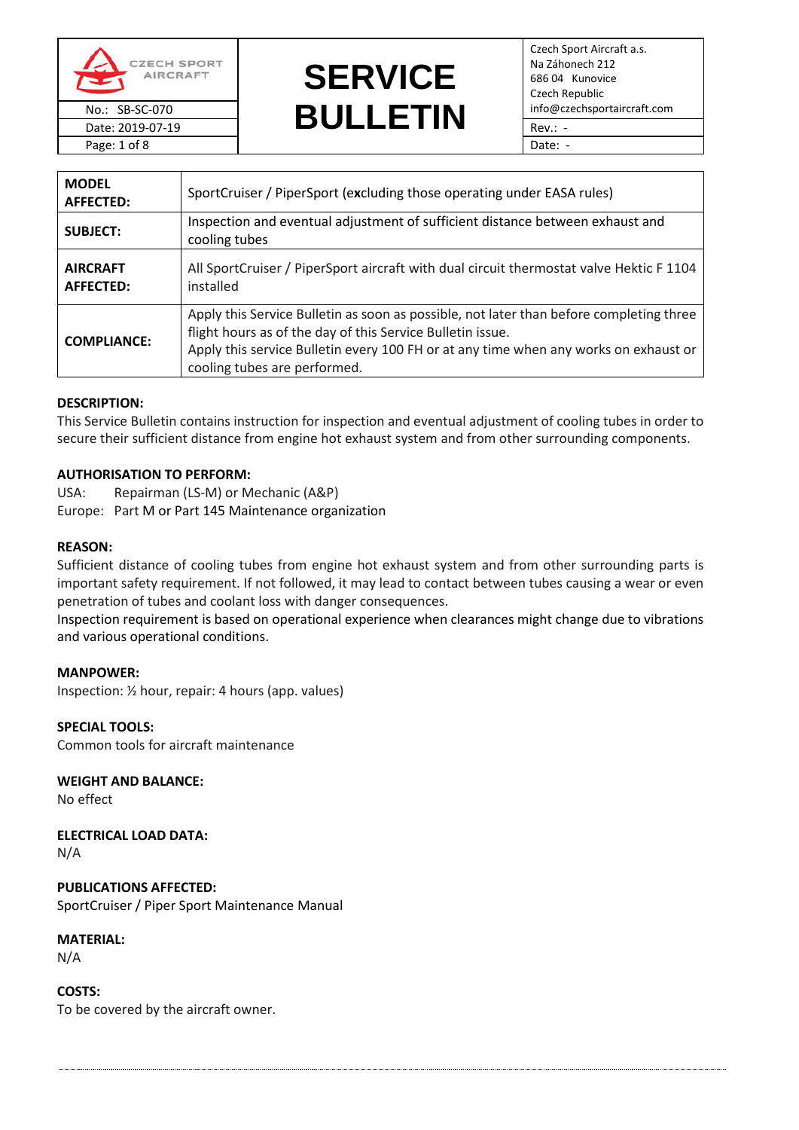

Page: 1 of 8 Date: -

# **SERVICE**  No.: SB-SC-070<br>Date: 2019-07-19 **BULLETIN** Fev.: -Date: 2019-07-19  $\blacksquare$   $\blacksquare$   $\blacksquare$   $\blacksquare$   $\blacksquare$   $\blacksquare$   $\blacksquare$   $\blacksquare$   $\blacksquare$   $\blacksquare$   $\blacksquare$   $\blacksquare$   $\blacksquare$   $\blacksquare$   $\blacksquare$   $\blacksquare$   $\blacksquare$   $\blacksquare$   $\blacksquare$   $\blacksquare$   $\blacksquare$   $\blacksquare$   $\blacksquare$   $\blacksquare$   $\blacksquare$   $\blacksquare$   $\blacksquare$   $\blacksquare$   $\blacksquare$

Czech Sport Aircraft a.s. Na Záhonech 212 686 04 Kunovice Czech Republic

| <b>MODEL</b><br><b>AFFECTED:</b>    | SportCruiser / PiperSport (excluding those operating under EASA rules)                                                                                                                                                                                                        |
|-------------------------------------|-------------------------------------------------------------------------------------------------------------------------------------------------------------------------------------------------------------------------------------------------------------------------------|
| <b>SUBJECT:</b>                     | Inspection and eventual adjustment of sufficient distance between exhaust and<br>cooling tubes                                                                                                                                                                                |
| <b>AIRCRAFT</b><br><b>AFFECTED:</b> | All SportCruiser / PiperSport aircraft with dual circuit thermostat valve Hektic F 1104<br>installed                                                                                                                                                                          |
| <b>COMPLIANCE:</b>                  | Apply this Service Bulletin as soon as possible, not later than before completing three<br>flight hours as of the day of this Service Bulletin issue.<br>Apply this service Bulletin every 100 FH or at any time when any works on exhaust or<br>cooling tubes are performed. |

## **DESCRIPTION:**

This Service Bulletin contains instruction for inspection and eventual adjustment of cooling tubes in order to secure their sufficient distance from engine hot exhaust system and from other surrounding components.

# **AUTHORISATION TO PERFORM:**

USA: Repairman (LS-M) or Mechanic (A&P) Europe: Part M or Part 145 Maintenance organization

## **REASON:**

Sufficient distance of cooling tubes from engine hot exhaust system and from other surrounding parts is important safety requirement. If not followed, it may lead to contact between tubes causing a wear or even penetration of tubes and coolant loss with danger consequences.

Inspection requirement is based on operational experience when clearances might change due to vibrations and various operational conditions.

#### **MANPOWER:**

Inspection: ½ hour, repair: 4 hours (app. values)

**SPECIAL TOOLS:** Common tools for aircraft maintenance

**WEIGHT AND BALANCE:**

No effect

**ELECTRICAL LOAD DATA:**

N/A

**PUBLICATIONS AFFECTED:** SportCruiser / Piper Sport Maintenance Manual

**MATERIAL:**

N/A

**COSTS:** To be covered by the aircraft owner.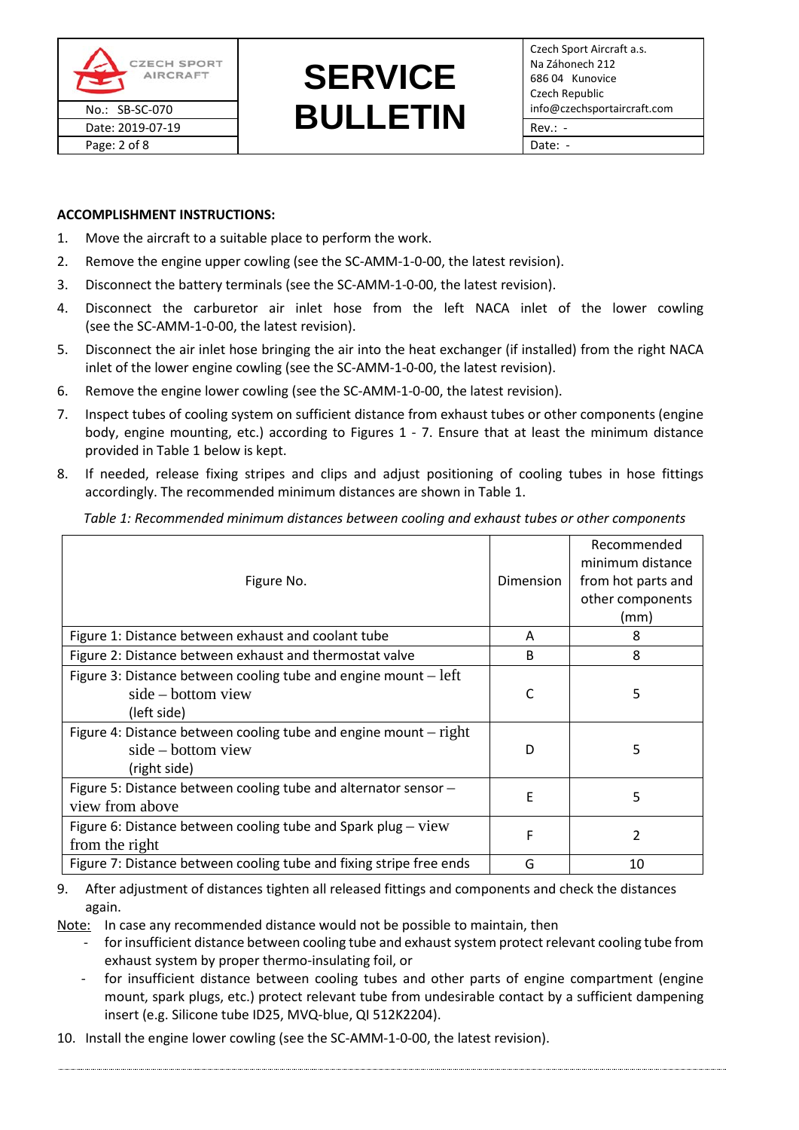

# **SERVICE**  No.: SB-SC-070<br>Date: 2019-07-19 **BULLETIN** Fev.: -Date: 2019-07-19 Rev.: -

#### **ACCOMPLISHMENT INSTRUCTIONS:**

- 1. Move the aircraft to a suitable place to perform the work.
- 2. Remove the engine upper cowling (see the SC-AMM-1-0-00, the latest revision).
- 3. Disconnect the battery terminals (see the SC-AMM-1-0-00, the latest revision).
- 4. Disconnect the carburetor air inlet hose from the left NACA inlet of the lower cowling (see the SC-AMM-1-0-00, the latest revision).
- 5. Disconnect the air inlet hose bringing the air into the heat exchanger (if installed) from the right NACA inlet of the lower engine cowling (see the SC-AMM-1-0-00, the latest revision).
- 6. Remove the engine lower cowling (see the SC-AMM-1-0-00, the latest revision).
- 7. Inspect tubes of cooling system on sufficient distance from exhaust tubes or other components (engine body, engine mounting, etc.) according to Figures 1 - 7. Ensure that at least the minimum distance provided in Table 1 below is kept.
- 8. If needed, release fixing stripes and clips and adjust positioning of cooling tubes in hose fittings accordingly. The recommended minimum distances are shown i[n Table 1.](#page-1-0)

<span id="page-1-0"></span>*Table 1: Recommended minimum distances between cooling and exhaust tubes or other components*

| Figure No.                                                                                               | Dimension    | Recommended<br>minimum distance<br>from hot parts and<br>other components<br>(mm) |
|----------------------------------------------------------------------------------------------------------|--------------|-----------------------------------------------------------------------------------|
| Figure 1: Distance between exhaust and coolant tube                                                      | A            | 8                                                                                 |
| Figure 2: Distance between exhaust and thermostat valve                                                  | <sub>B</sub> | 8                                                                                 |
| Figure 3: Distance between cooling tube and engine mount $-$ left<br>$side - bottom$ view<br>(left side) | C            | 5                                                                                 |
| Figure 4: Distance between cooling tube and engine mount $-$ right<br>side – bottom view<br>(right side) | D            | 5                                                                                 |
| Figure 5: Distance between cooling tube and alternator sensor -<br>view from above                       | F            | 5                                                                                 |
| Figure 6: Distance between cooling tube and Spark plug – $view$<br>from the right                        | F            | 2                                                                                 |
| Figure 7: Distance between cooling tube and fixing stripe free ends                                      | G            | 10                                                                                |

## 9. After adjustment of distances tighten all released fittings and components and check the distances again.

Note: In case any recommended distance would not be possible to maintain, then

- for insufficient distance between cooling tube and exhaust system protect relevant cooling tube from exhaust system by proper thermo-insulating foil, or
- for insufficient distance between cooling tubes and other parts of engine compartment (engine mount, spark plugs, etc.) protect relevant tube from undesirable contact by a sufficient dampening insert (e.g. Silicone tube ID25, MVQ-blue, QI 512K2204).
- 10. Install the engine lower cowling (see the SC-AMM-1-0-00, the latest revision).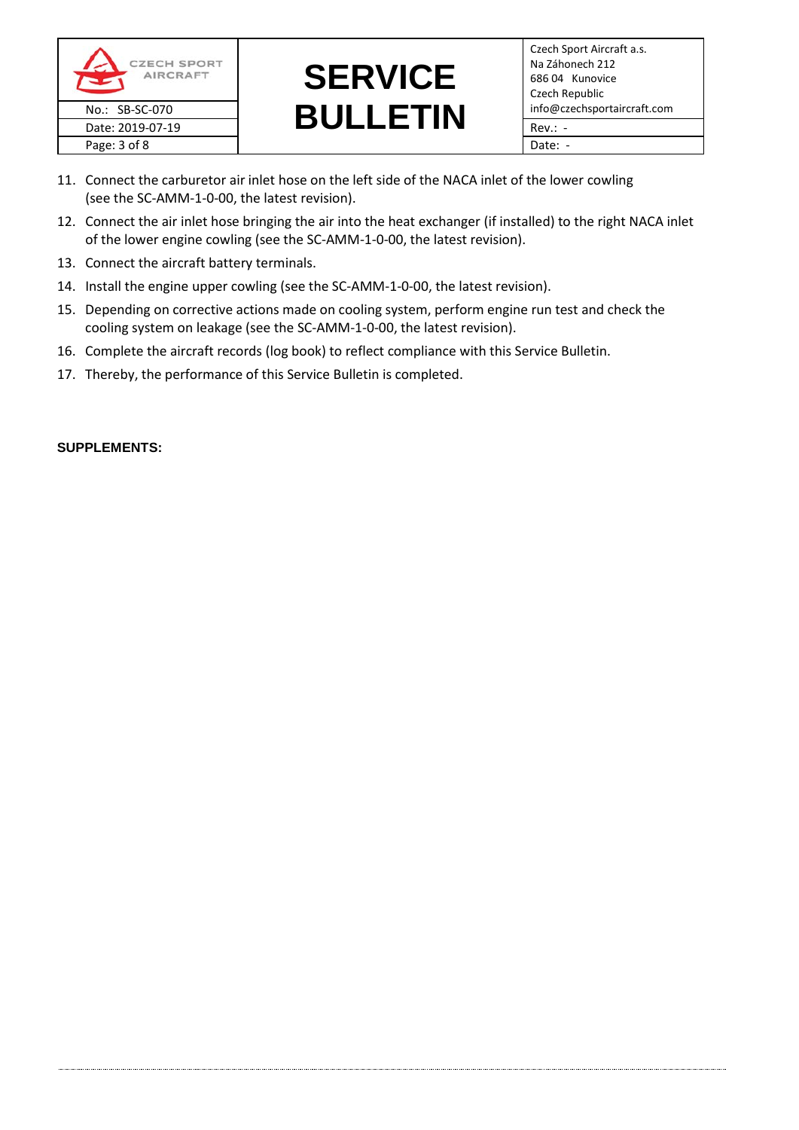



- 11. Connect the carburetor air inlet hose on the left side of the NACA inlet of the lower cowling (see the SC-AMM-1-0-00, the latest revision).
- 12. Connect the air inlet hose bringing the air into the heat exchanger (if installed) to the right NACA inlet of the lower engine cowling (see the SC-AMM-1-0-00, the latest revision).
- 13. Connect the aircraft battery terminals.
- 14. Install the engine upper cowling (see the SC-AMM-1-0-00, the latest revision).
- 15. Depending on corrective actions made on cooling system, perform engine run test and check the cooling system on leakage (see the SC-AMM-1-0-00, the latest revision).
- 16. Complete the aircraft records (log book) to reflect compliance with this Service Bulletin.
- 17. Thereby, the performance of this Service Bulletin is completed.

## **SUPPLEMENTS:**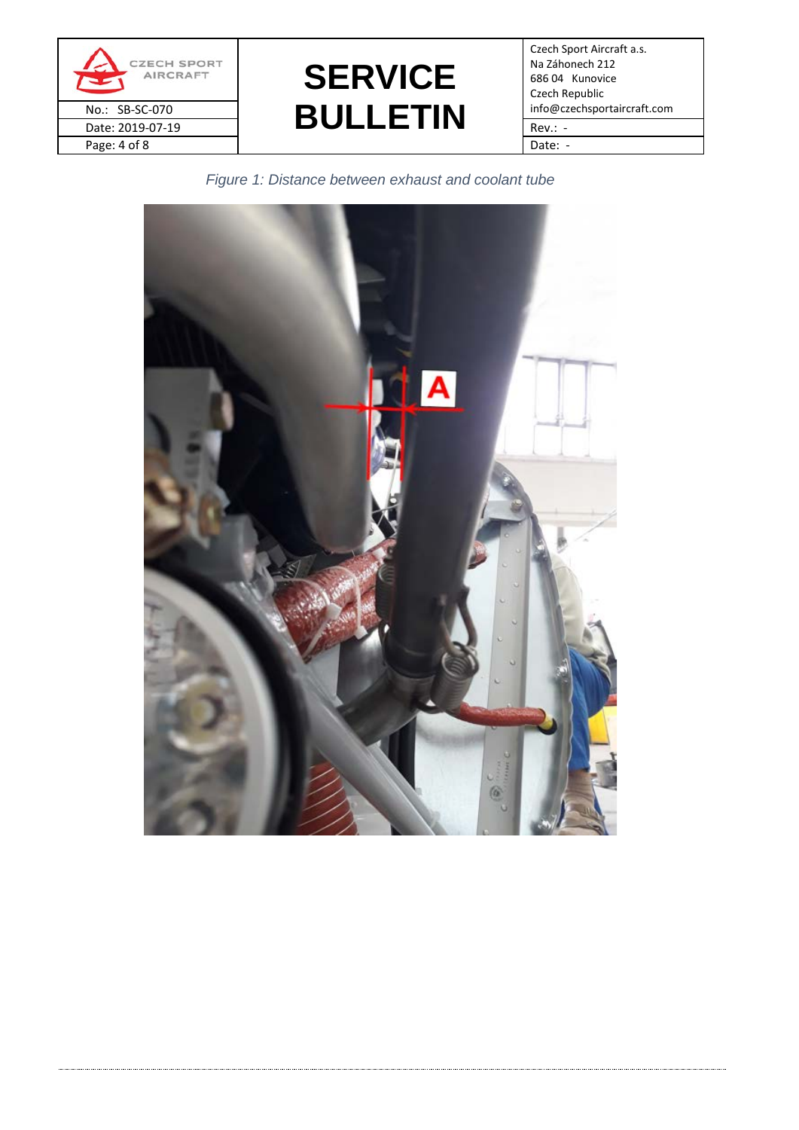



Czech Sport Aircraft a.s. Na Záhonech 212 686 04 Kunovice Czech Republic

*Figure 1: Distance between exhaust and coolant tube*

<span id="page-3-0"></span>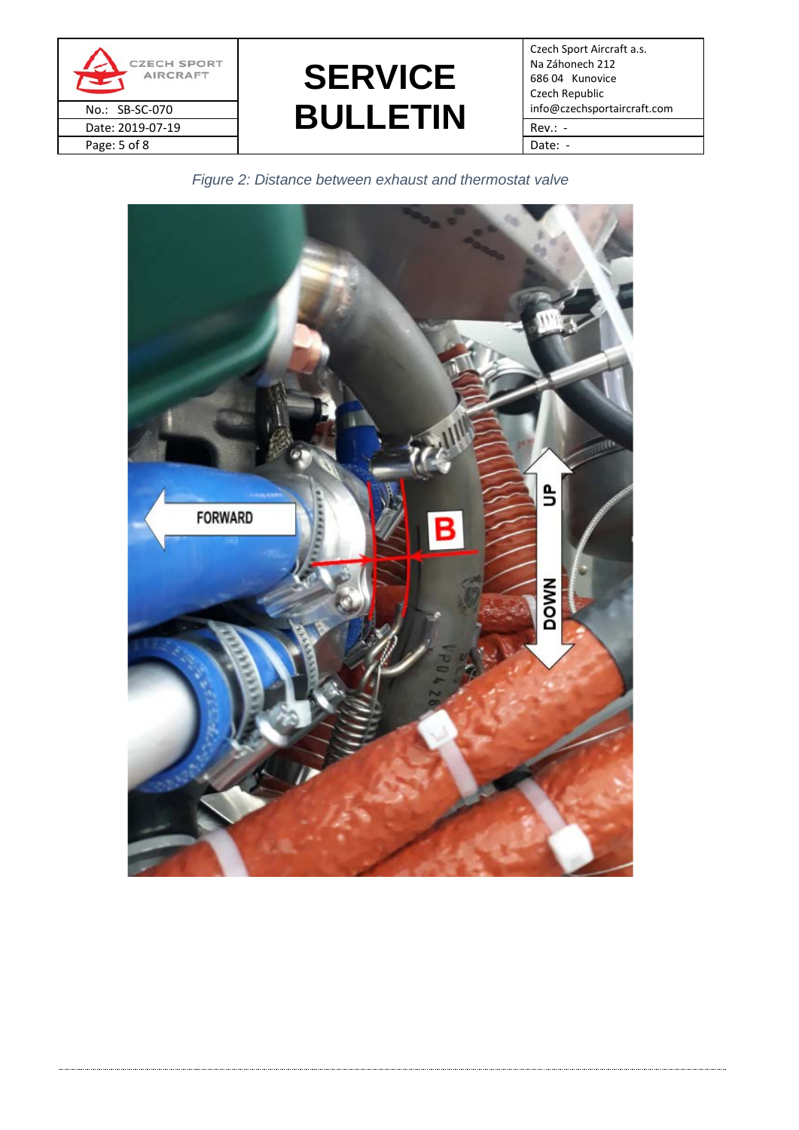

**SERVICE**  No.: SB-SC-070<br>Date: 2019-07-19 **BULLETIN** Fev.: -Date: 2019-07-19  $\begin{array}{|c|c|c|c|c|c|c|c|c|}\n\hline\n\hline\n\end{array}$  Rev.: -

Czech Sport Aircraft a.s. Na Záhonech 212 686 04 Kunovice Czech Republic

*Figure 2: Distance between exhaust and thermostat valve*

<span id="page-4-0"></span>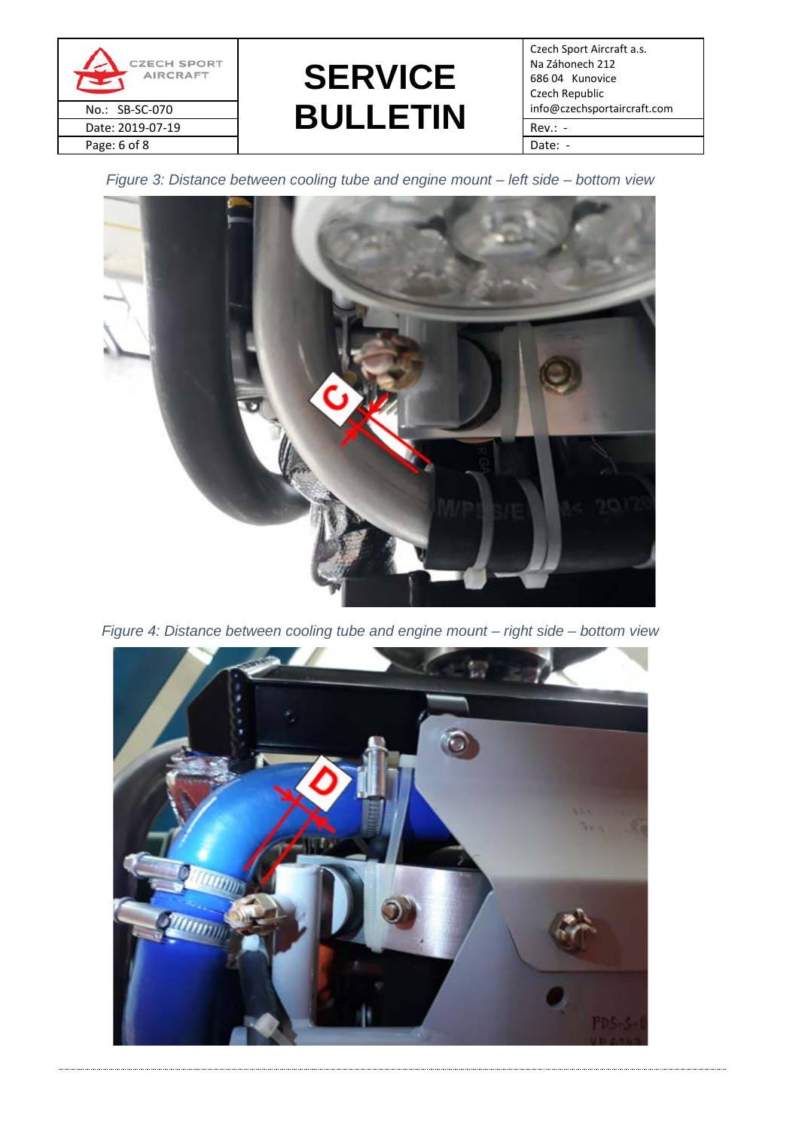

# **SERVICE**  No.: SB-SC-070<br>Date: 2019-07-19 **BULLETIN** Fev.: -Date: 2019-07-19  $\begin{array}{|c|c|c|c|c|c|c|c|c|}\n\hline\n\hline\n\end{array}$  Rev.: -

Czech Sport Aircraft a.s. Na Záhonech 212 686 04 Kunovice Czech Republic

<span id="page-5-0"></span>*Figure 3: Distance between cooling tube and engine mount – left side – bottom view*



*Figure 4: Distance between cooling tube and engine mount – right side – bottom view*

<span id="page-5-1"></span>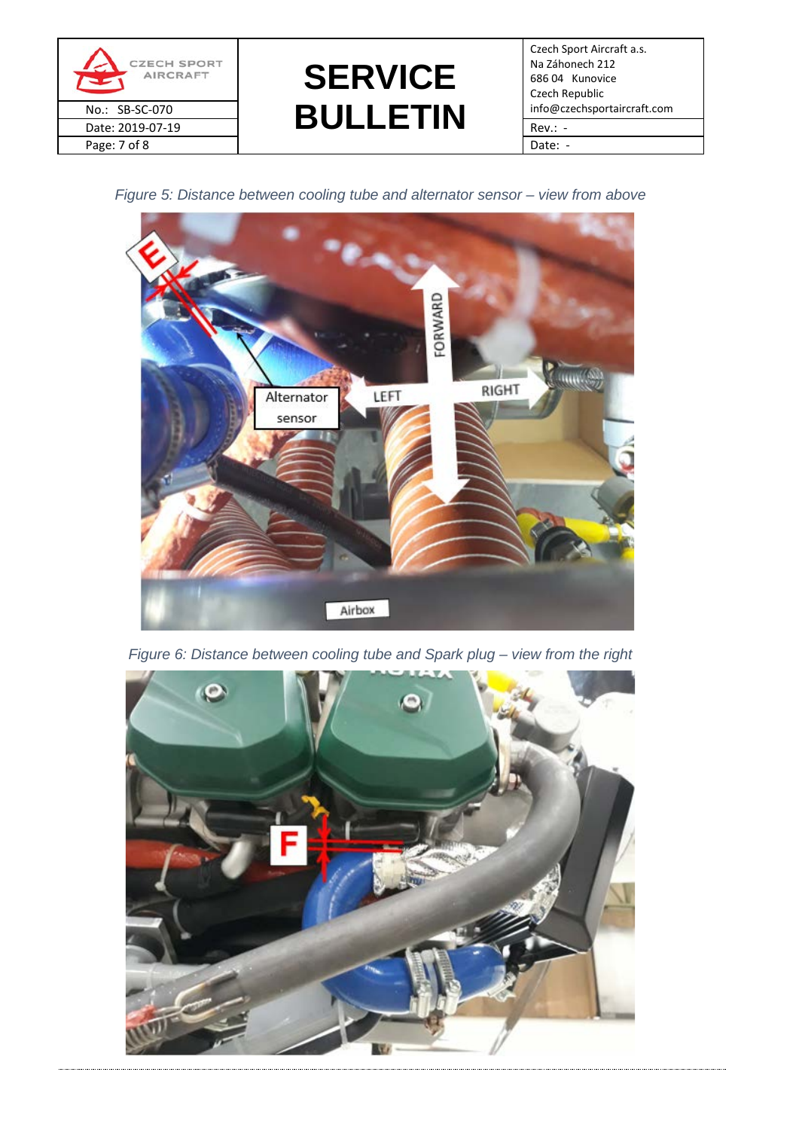



Czech Sport Aircraft a.s. Na Záhonech 212 686 04 Kunovice Czech Republic

<span id="page-6-0"></span>*Figure 5: Distance between cooling tube and alternator sensor – view from above*



*Figure 6: Distance between cooling tube and Spark plug – view from the right*

<span id="page-6-1"></span>